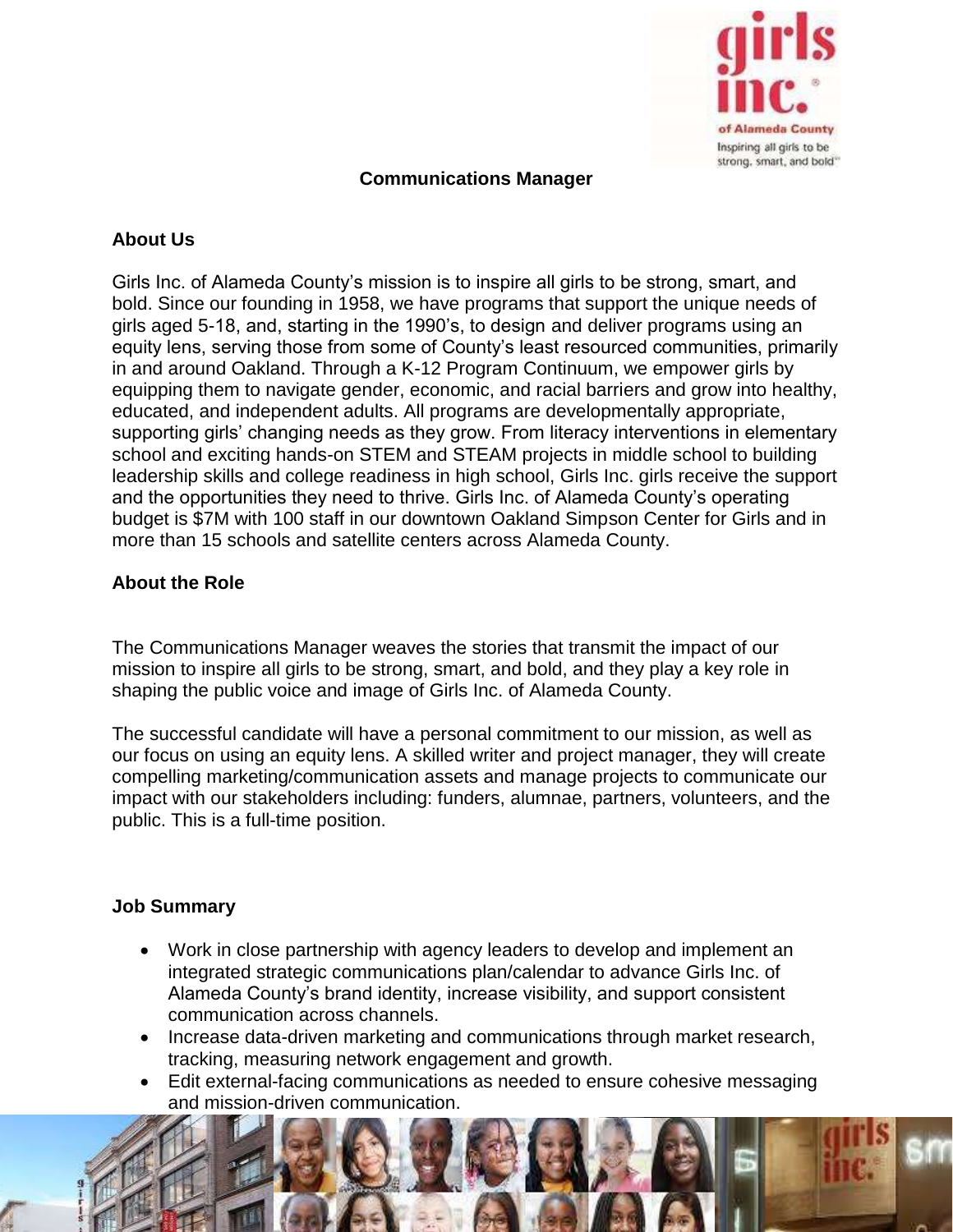

## **Communications Manager**

## **About Us**

Girls Inc. of Alameda County's mission is to inspire all girls to be strong, smart, and bold. Since our founding in 1958, we have programs that support the unique needs of girls aged 5-18, and, starting in the 1990's, to design and deliver programs using an equity lens, serving those from some of County's least resourced communities, primarily in and around Oakland. Through a K-12 Program Continuum, we empower girls by equipping them to navigate gender, economic, and racial barriers and grow into healthy, educated, and independent adults. All programs are developmentally appropriate, supporting girls' changing needs as they grow. From literacy interventions in elementary school and exciting hands-on STEM and STEAM projects in middle school to building leadership skills and college readiness in high school, Girls Inc. girls receive the support and the opportunities they need to thrive. Girls Inc. of Alameda County's operating budget is \$7M with 100 staff in our downtown Oakland Simpson Center for Girls and in more than 15 schools and satellite centers across Alameda County.

## **About the Role**

The Communications Manager weaves the stories that transmit the impact of our mission to inspire all girls to be strong, smart, and bold, and they play a key role in shaping the public voice and image of Girls Inc. of Alameda County.

The successful candidate will have a personal commitment to our mission, as well as our focus on using an equity lens. A skilled writer and project manager, they will create compelling marketing/communication assets and manage projects to communicate our impact with our stakeholders including: funders, alumnae, partners, volunteers, and the public. This is a full-time position.

#### **Job Summary**

- Work in close partnership with agency leaders to develop and implement an integrated strategic communications plan/calendar to advance Girls Inc. of Alameda County's brand identity, increase visibility, and support consistent communication across channels.
- Increase data-driven marketing and communications through market research, tracking, measuring network engagement and growth.
- Edit external-facing communications as needed to ensure cohesive messaging and mission-driven communication.

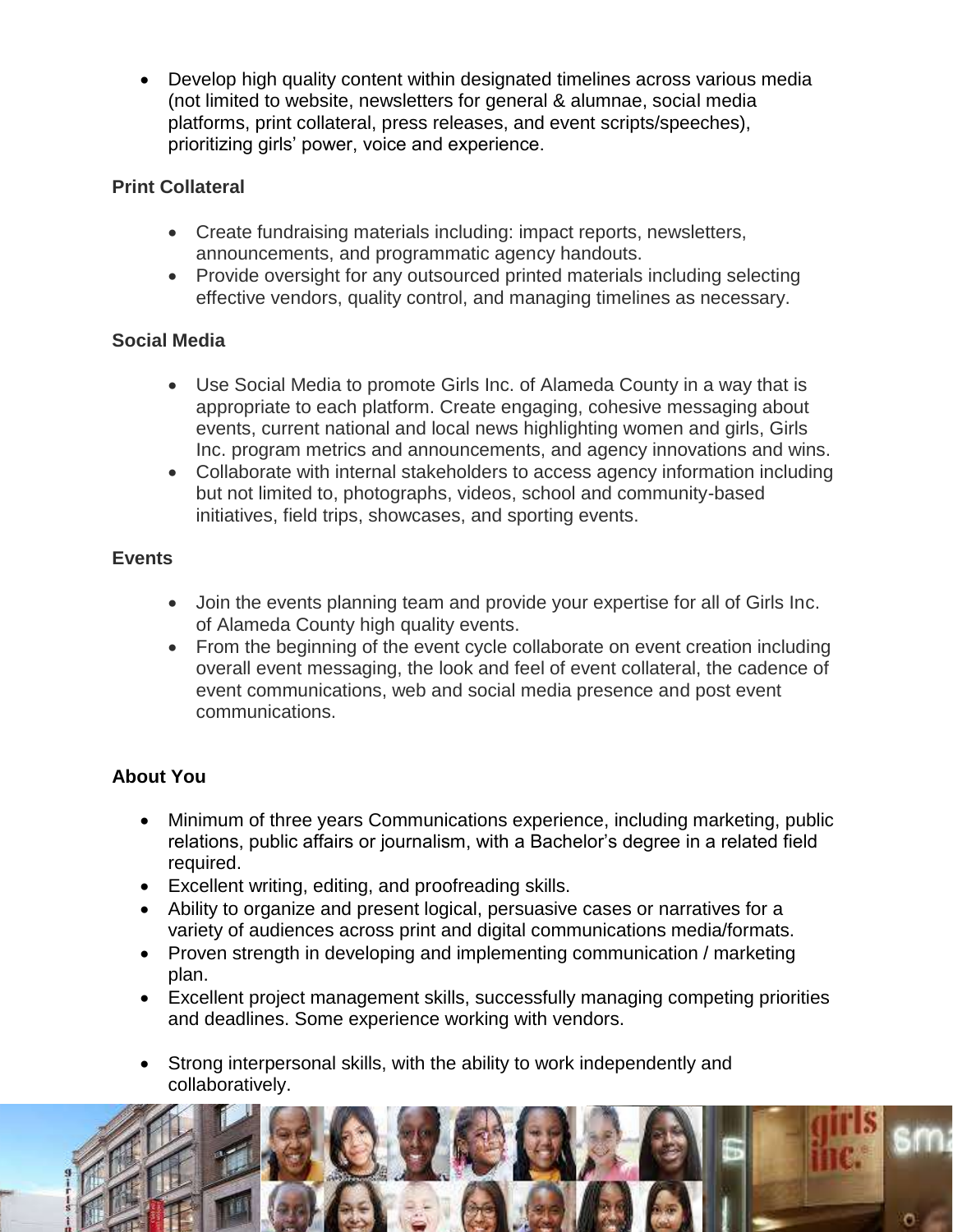• Develop high quality content within designated timelines across various media (not limited to website, newsletters for general & alumnae, social media platforms, print collateral, press releases, and event scripts/speeches), prioritizing girls' power, voice and experience.

## **Print Collateral**

- Create fundraising materials including: impact reports, newsletters, announcements, and programmatic agency handouts.
- Provide oversight for any outsourced printed materials including selecting effective vendors, quality control, and managing timelines as necessary.

## **Social Media**

- Use Social Media to promote Girls Inc. of Alameda County in a way that is appropriate to each platform. Create engaging, cohesive messaging about events, current national and local news highlighting women and girls, Girls Inc. program metrics and announcements, and agency innovations and wins.
- Collaborate with internal stakeholders to access agency information including but not limited to, photographs, videos, school and community-based initiatives, field trips, showcases, and sporting events.

#### **Events**

- Join the events planning team and provide your expertise for all of Girls Inc. of Alameda County high quality events.
- From the beginning of the event cycle collaborate on event creation including overall event messaging, the look and feel of event collateral, the cadence of event communications, web and social media presence and post event communications.

# **About You**

- Minimum of three years Communications experience, including marketing, public relations, public affairs or journalism, with a Bachelor's degree in a related field required.
- Excellent writing, editing, and proofreading skills.
- Ability to organize and present logical, persuasive cases or narratives for a variety of audiences across print and digital communications media/formats.
- Proven strength in developing and implementing communication / marketing plan.
- Excellent project management skills, successfully managing competing priorities and deadlines. Some experience working with vendors.
- Strong interpersonal skills, with the ability to work independently and collaboratively.

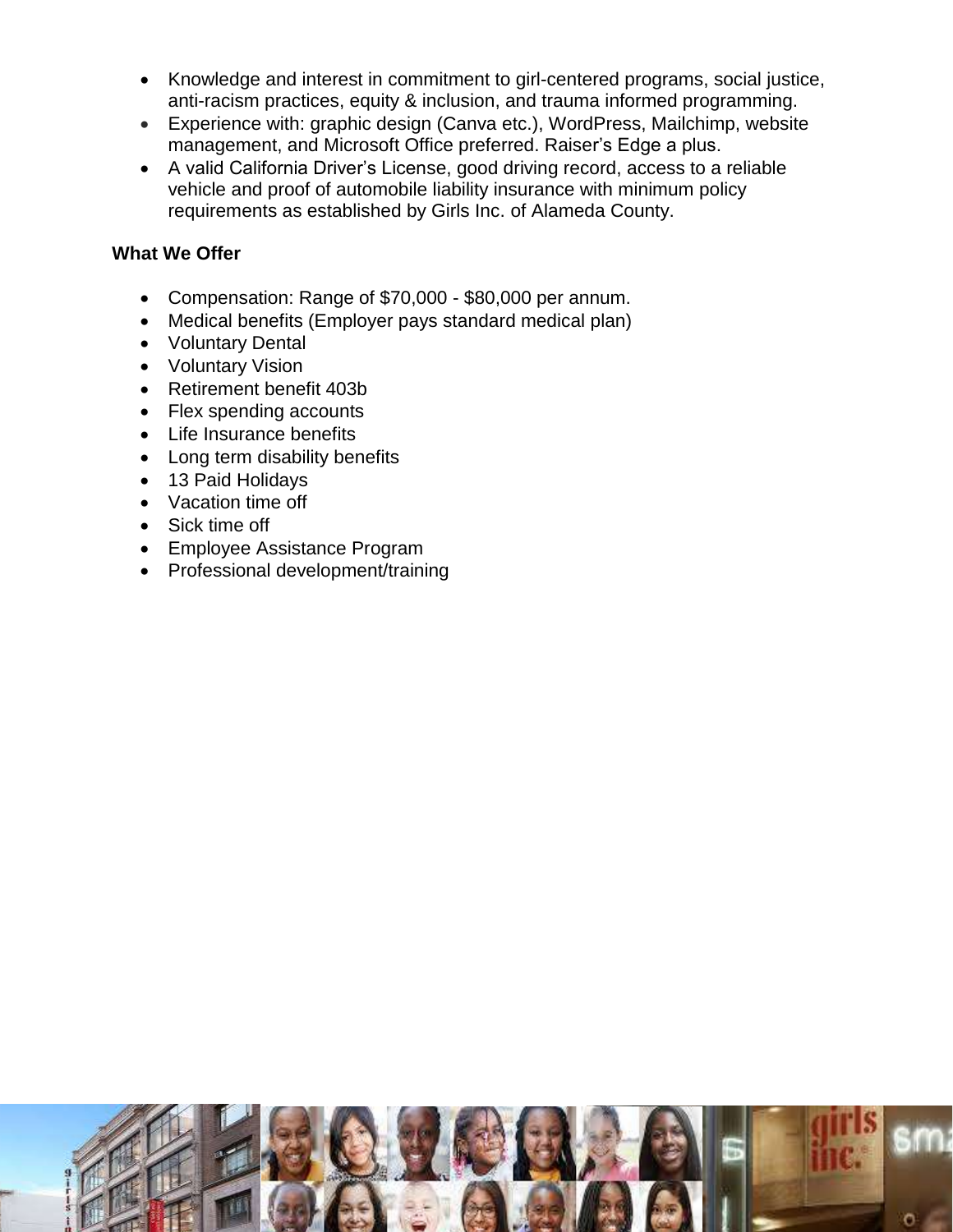- Knowledge and interest in commitment to girl-centered programs, social justice, anti-racism practices, equity & inclusion, and trauma informed programming.
- Experience with: graphic design (Canva etc.), WordPress, Mailchimp, website management, and Microsoft Office preferred. Raiser's Edge a plus.
- A valid California Driver's License, good driving record, access to a reliable vehicle and proof of automobile liability insurance with minimum policy requirements as established by Girls Inc. of Alameda County.

## **What We Offer**

- Compensation: Range of \$70,000 \$80,000 per annum.
- Medical benefits (Employer pays standard medical plan)
- Voluntary Dental
- Voluntary Vision
- Retirement benefit 403b
- Flex spending accounts
- Life Insurance benefits
- Long term disability benefits
- 13 Paid Holidays
- Vacation time off
- Sick time off
- Employee Assistance Program
- Professional development/training